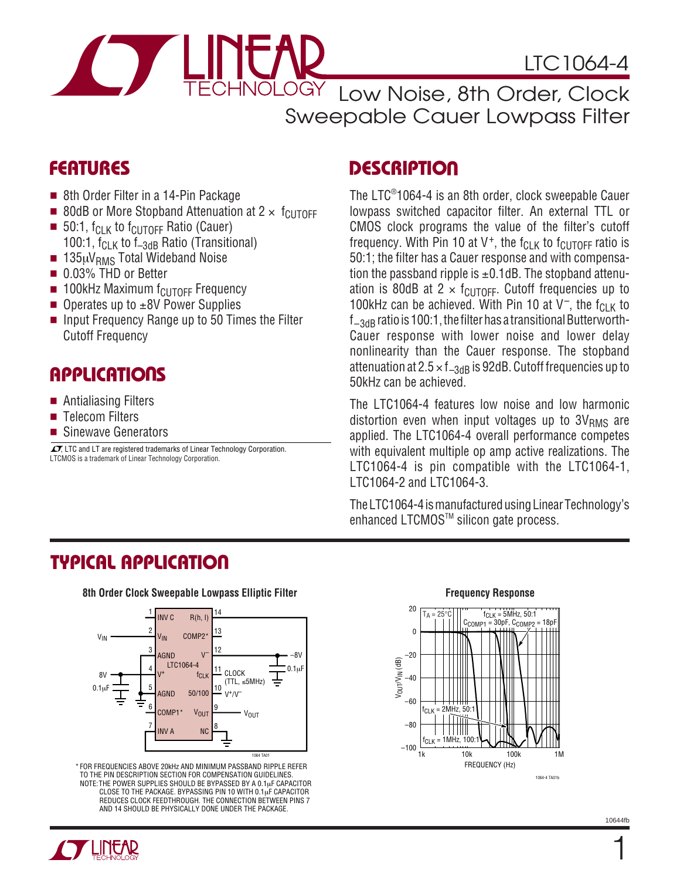

LTC1064-4

Low Noise, 8th Order, Clock Sweepable Cauer Lowpass Filter

### **FEATURES**

- 8th Order Filter in a 14-Pin Package
- 80dB or More Stopband Attenuation at  $2 \times f_{\text{CUTOFF}}$
- 50:1,  $f_{\text{CI K}}$  to  $f_{\text{CUTOFF}}$  Ratio (Cauer) 100:1,  $f_{CLK}$  to  $f_{-3dB}$  Ratio (Transitional)
- $\blacksquare$  135µV<sub>RMS</sub> Total Wideband Noise
- 0.03% THD or Better
- $\blacksquare$  100kHz Maximum  $f_{\text{ClITOFF}}$  Frequency
- Operates up to ±8V Power Supplies
- Input Frequency Range up to 50 Times the Filter Cutoff Frequency

### **APPLICATIONS**

- Antialiasing Filters
- Telecom Filters
- Sinewave Generators

LTCMOS is a trademark of Linear Technology Corporation.  $\sqrt{J}$ , LTC and LT are registered trademarks of Linear Technology Corporation.

### **DESCRIPTION**

The LTC® 1064-4 is an 8th order, clock sweepable Cauer lowpass switched capacitor filter. An external TTL or CMOS clock programs the value of the filter's cutoff frequency. With Pin 10 at V<sup>+</sup>, the  $f_{CLK}$  to  $f_{CUTOFF}$  ratio is 50:1; the filter has a Cauer response and with compensation the passband ripple is  $\pm 0.1$ dB. The stopband attenuation is 80dB at 2  $\times$  f<sub>CUTOFF</sub>. Cutoff frequencies up to 100kHz can be achieved. With Pin 10 at  $V^-$ , the f<sub>CLK</sub> to  $f_{-3dB}$  ratio is 100:1, the filter has a transitional Butterworth-Cauer response with lower noise and lower delay nonlinearity than the Cauer response. The stopband attenuation at  $2.5 \times f_{-3dB}$  is 92dB. Cutoff frequencies up to 50kHz can be achieved.

The LTC1064-4 features low noise and low harmonic distortion even when input voltages up to  $3V<sub>RMS</sub>$  are applied. The LTC1064-4 overall performance competes with equivalent multiple op amp active realizations. The LTC1064-4 is pin compatible with the LTC1064-1, LTC1064-2 and LTC1064-3.

The LTC1064-4 is manufactured using Linear Technology's enhanced LTCMOS™ silicon gate process.

# **TYPICAL APPLICATIO U**

8th Order Clock Sweepable Lowpass Elliptic Filter **Frame Clock Sweepable Lowpass Elliptic Filter** Frequency Response



\* FOR FREQUENCIES ABOVE 20kHz AND MINIMUM PASSBAND RIPPLE REFER TO THE PIN DESCRIPTION SECTION FOR COMPENSATION GUIDELINES. NOTE:THE POWER SUPPLIES SHOULD BE BYPASSED BY A 0.1µF CAPACITOR CLOSE TO THE PACKAGE. BYPASSING PIN 10 WITH 0.1µF CAPACITOR REDUCES CLOCK FEEDTHROUGH. THE CONNECTION BETWEEN PINS 7 AND 14 SHOULD BE PHYSICALLY DONE UNDER THE PACKAGE.



1

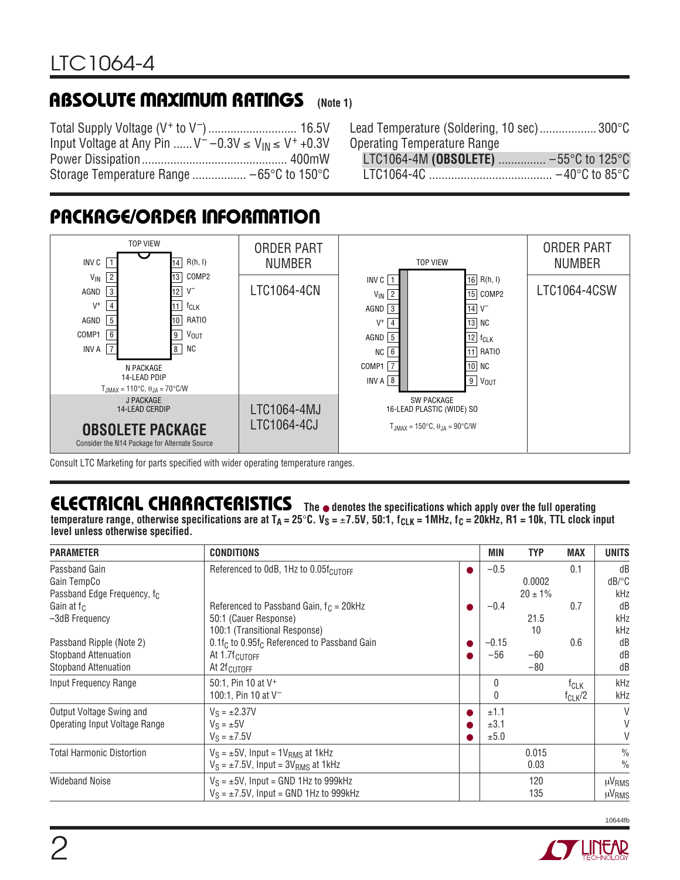#### **(Note 1) ABSOLUTE MAXIMUM RATINGS**

Total Supply Voltage (V+ to V–)............................ 16.5V Input Voltage at Any Pin ......  $V^- - 0.3V \le V_{\text{IN}} \le V^+ + 0.3V$ Power Dissipation.............................................. 400mW Storage Temperature Range ................. –65°C to 150°C

| Lead Temperature (Soldering, 10 sec) 300°C |  |
|--------------------------------------------|--|
| <b>Operating Temperature Range</b>         |  |
| LTC1064-4M (OBSOLETE)  -55°C to 125°C      |  |
|                                            |  |
|                                            |  |

# **PACKAGE/ORDER INFORMATION**



Consult LTC Marketing for parts specified with wider operating temperature ranges.

# **ELECTRICAL CHARACTERISTICS** The  $\bullet$  denotes the specifications which apply over the full operating

temperature range, otherwise specifications are at  $T_A = 25^\circ \text{C}$ .  $V_S = \pm 7.5V$ , 50:1,  $f_{CLK} = 1$ MHz,  $f_C = 20$ kHz, R1 = 10k, TTL clock input **level unless otherwise specified.**

| <b>PARAMETER</b>                                                                       | <b>CONDITIONS</b>                                                                                         | MIN                  | <b>TYP</b>             | <b>MAX</b>                      | <b>UNITS</b>                                      |
|----------------------------------------------------------------------------------------|-----------------------------------------------------------------------------------------------------------|----------------------|------------------------|---------------------------------|---------------------------------------------------|
| Passband Gain<br>Gain TempCo<br>Passband Edge Frequency, f <sub>C</sub>                | Referenced to OdB, 1Hz to 0.05f <sub>CUTOFF</sub>                                                         | $-0.5$               | 0.0002<br>$20 \pm 1\%$ | 0.1                             | dB<br>$dB$ <sup><math>\circ</math></sup> C<br>kHz |
| Gain at $f_C$<br>-3dB Frequency                                                        | Referenced to Passband Gain, $f_C = 20kHz$<br>50:1 (Cauer Response)<br>100:1 (Transitional Response)      | $-0.4$               | 21.5<br>10             | 0.7                             | dB<br>kHz<br>kHz                                  |
| Passband Ripple (Note 2)<br><b>Stopband Attenuation</b><br><b>Stopband Attenuation</b> | $0.1f_C$ to $0.95f_C$ Referenced to Passband Gain<br>At $1.7f_{\text{CUTOFF}}$<br>At 2f <sub>CUTOFF</sub> | $-0.15$<br>$-56$     | $-60$<br>$-80$         | 0.6                             | dB<br>dB<br>dB                                    |
| Input Frequency Range                                                                  | 50:1, Pin 10 at V <sup>+</sup><br>100:1, Pin 10 at V <sup>-1</sup>                                        | 0<br>0               |                        | f <sub>CLK</sub><br>$f_{CLK}/2$ | kHz<br>kHz                                        |
| Output Voltage Swing and<br>Operating Input Voltage Range                              | $V_S = \pm 2.37V$<br>$V_S = \pm 5V$<br>$V_S = \pm 7.5V$                                                   | ±1.1<br>±3.1<br>±5.0 |                        |                                 | V<br>V<br>V                                       |
| <b>Total Harmonic Distortion</b>                                                       | $V_S = \pm 5V$ , Input = 1 $V_{RMS}$ at 1kHz<br>$V_S = \pm 7.5V$ , Input = 3V <sub>RMS</sub> at 1kHz      |                      | 0.015<br>0.03          |                                 | $\frac{0}{0}$<br>$\frac{0}{0}$                    |
| <b>Wideband Noise</b>                                                                  | $V_S = \pm 5V$ , Input = GND 1Hz to 999kHz<br>$V_S = \pm 7.5V$ , Input = GND 1Hz to 999kHz                |                      | 120<br>135             |                                 | µV <sub>RMS</sub><br>µV <sub>RMS</sub>            |

10644fb

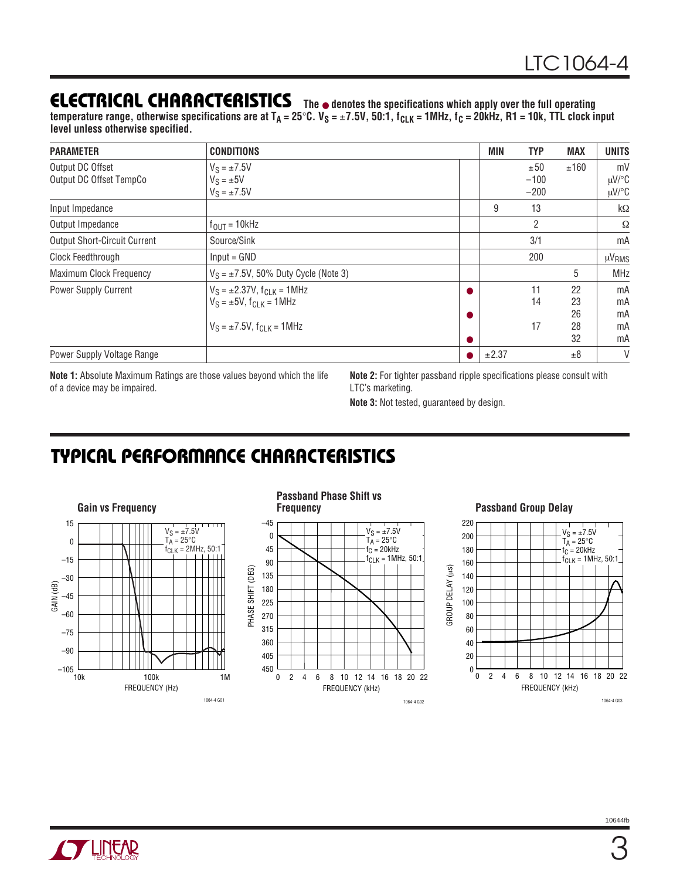### **ELECTRICAL CHARACTERISTICS**

**The** ● **denotes the specifications which apply over the full operating** temperature range, otherwise specifications are at T<sub>A</sub> = 25°C. V<sub>S</sub> = ±7.5V, 50:1, f<sub>CLK</sub> = 1MHz, f<sub>C</sub> = 20kHz, R1 = 10k, TTL clock input **level unless otherwise specified.**

| <b>PARAMETER</b>                            | <b>CONDITIONS</b>                                                                                                    |           | MIN   | <b>TYP</b>              | <b>MAX</b>                 | <b>UNITS</b>                   |
|---------------------------------------------|----------------------------------------------------------------------------------------------------------------------|-----------|-------|-------------------------|----------------------------|--------------------------------|
| Output DC Offset<br>Output DC Offset TempCo | $V_S = \pm 7.5V$<br>$V_S = \pm 5V$<br>$V_S = \pm 7.5V$                                                               |           |       | ±50<br>$-100$<br>$-200$ | ±160                       | mV<br>$\mu$ V/°C<br>$\mu$ V/°C |
| Input Impedance                             |                                                                                                                      |           | 9     | 13                      |                            | $k\Omega$                      |
| Output Impedance                            | $f_{\text{OUT}} = 10$ kHz                                                                                            |           |       | $\overline{2}$          |                            | Ω                              |
| <b>Output Short-Circuit Current</b>         | Source/Sink                                                                                                          |           |       | 3/1                     |                            | mA                             |
| Clock Feedthrough                           | $Input = GND$                                                                                                        |           |       | 200                     |                            | µV <sub>RMS</sub>              |
| Maximum Clock Frequency                     | $V_S = \pm 7.5V$ , 50% Duty Cycle (Note 3)                                                                           |           |       |                         | 5                          | <b>MHz</b>                     |
| Power Supply Current                        | $V_S = \pm 2.37V$ , $f_{C-K} = 1$ MHz<br>$V_S = \pm 5V$ , $f_{C1 K} = 1 MHz$<br>$V_S = \pm 7.5V$ , $f_{CJK} = 1 MHz$ | $\bullet$ |       | 11<br>14<br>17          | 22<br>23<br>26<br>28<br>32 | mA<br>mA<br>mA<br>mA<br>mA     |
| Power Supply Voltage Range                  |                                                                                                                      |           | ±2.37 |                         | ±8                         | V                              |

**Note 1:** Absolute Maximum Ratings are those values beyond which the life of a device may be impaired.

**Note 2:** For tighter passband ripple specifications please consult with LTC's marketing.

**Note 3:** Not tested, guaranteed by design.

1064-4 G02

 $V_S = \pm 7.5V$  $T_A = 25^{\circ}C$  $f_C = 20$ kHz  $f_{CLK} = 1$ MHz, 50:1

# **TYPICAL PERFORMANCE CHARACTERISTICS**



### **Passband Group Delay**

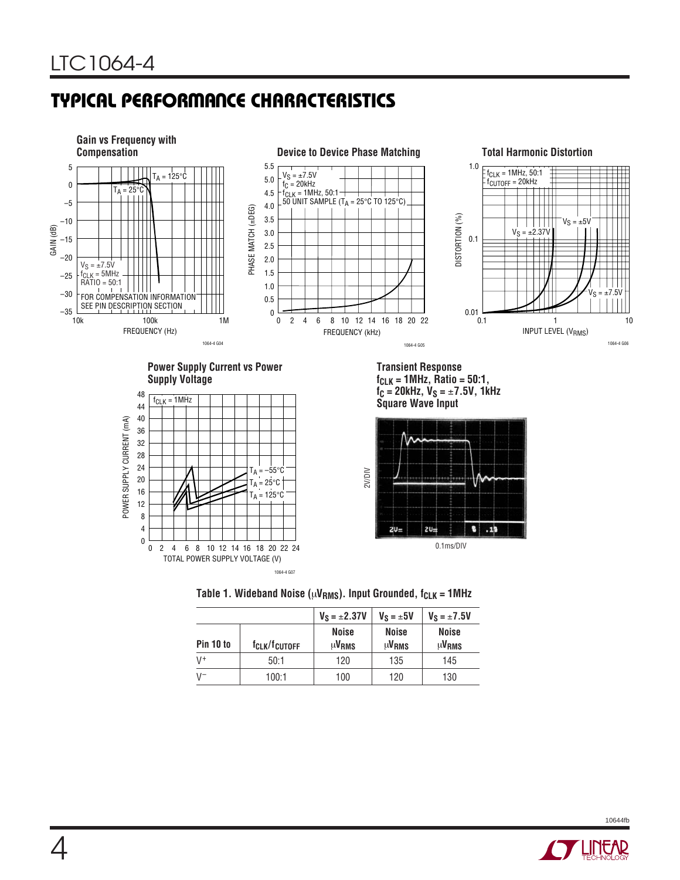# **TYPICAL PERFORMANCE CHARACTERISTICS**



Table 1. Wideband Noise ( $\mu$ V<sub>RMS</sub>). Input Grounded, f<sub>CLK</sub> = 1MHz

|                |                                       | $V_S = \pm 2.37V$                 | $V_S = \pm 5V$                         | $V_S = \pm 7.5V$                  |
|----------------|---------------------------------------|-----------------------------------|----------------------------------------|-----------------------------------|
| Pin 10 to      | f <sub>CLK</sub> /f <sub>cutoff</sub> | <b>Noise</b><br>µV <sub>RMS</sub> | <b>Noise</b><br>$\mu$ V <sub>RMS</sub> | <b>Noise</b><br>µV <sub>RMS</sub> |
| V <sup>+</sup> | 50:1                                  | 120                               | 135                                    | 145                               |
| $V^-$          | 100:1                                 | 100                               | 120                                    | 130                               |

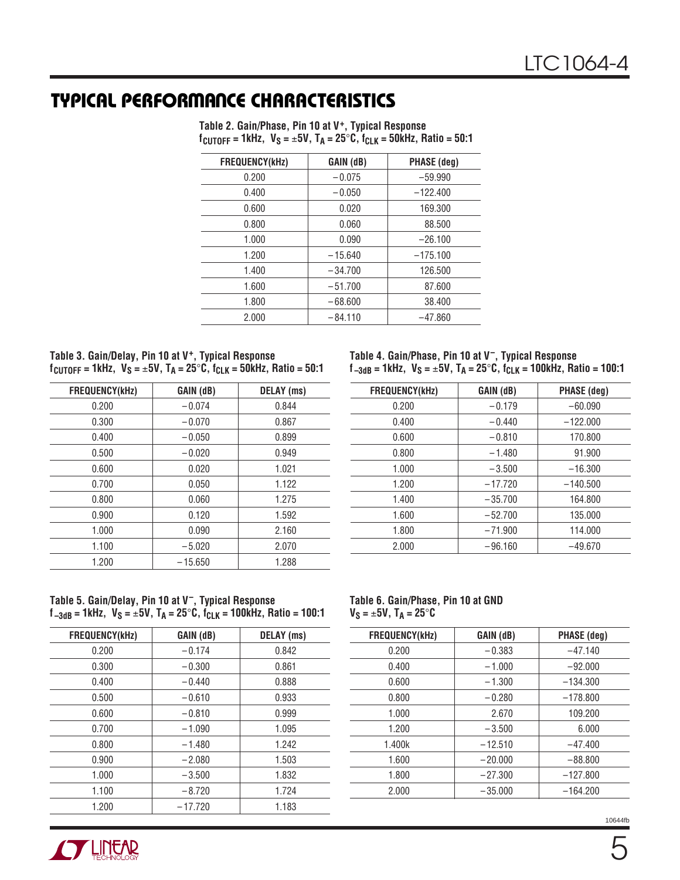### **TYPICAL PERFORMANCE CHARACTERISTICS**

| <b>FREQUENCY(kHz)</b> | GAIN (dB) | <b>PHASE (deg)</b> |
|-----------------------|-----------|--------------------|
| 0.200                 | $-0.075$  | $-59.990$          |
| 0.400                 | $-0.050$  | $-122.400$         |
| 0.600                 | 0.020     | 169.300            |
| 0.800                 | 0.060     | 88.500             |
| 1.000                 | 0.090     | $-26.100$          |
| 1.200                 | $-15.640$ | $-175.100$         |
| 1.400                 | $-34.700$ | 126.500            |
| 1.600                 | $-51.700$ | 87.600             |
| 1.800                 | $-68,600$ | 38.400             |
| 2.000                 | $-84.110$ | $-47.860$          |

**Table 2. Gain/Phase, Pin 10 at V+, Typical Response fCUTOFF = 1kHz, VS =** ±**5V, TA = 25**°**C, fCLK = 50kHz, Ratio = 50:1**

| Table 3. Gain/Delay, Pin 10 at V <sup>+</sup> , Typical Response                                                 |  |
|------------------------------------------------------------------------------------------------------------------|--|
| $f_{\text{CUTOFF}} = 1$ kHz, V <sub>S</sub> = ±5V, T <sub>A</sub> = 25°C, f <sub>CLK</sub> = 50kHz, Ratio = 50:1 |  |

| FREQUENCY(kHz) | GAIN (dB) | <b>DELAY</b> (ms) |
|----------------|-----------|-------------------|
| 0.200          | $-0.074$  | 0.844             |
| 0.300          | $-0.070$  | 0.867             |
| 0.400          | $-0.050$  | 0.899             |
| 0.500          | $-0.020$  | 0.949             |
| 0.600          | 0.020     | 1.021             |
| 0.700          | 0.050     | 1.122             |
| 0.800          | 0.060     | 1.275             |
| 0.900          | 0.120     | 1.592             |
| 1.000          | 0.090     | 2.160             |
| 1.100          | $-5.020$  | 2.070             |
| 1.200          | $-15.650$ | 1.288             |

**Table 4. Gain/Phase, Pin 10 at V–, Typical Response f –3dB = 1kHz, VS =** ±**5V, TA = 25**°**C, fCLK = 100kHz, Ratio = 100:1**

| <b>FREQUENCY(kHz)</b> | GAIN (dB) | <b>PHASE (deg)</b> |
|-----------------------|-----------|--------------------|
| 0.200                 | $-0.179$  | $-60.090$          |
| 0.400                 | $-0.440$  | $-122.000$         |
| 0.600                 | $-0.810$  | 170.800            |
| 0.800                 | $-1.480$  | 91.900             |
| 1.000                 | $-3.500$  | $-16.300$          |
| 1.200                 | $-17.720$ | $-140.500$         |
| 1.400                 | $-35.700$ | 164.800            |
| 1.600                 | $-52.700$ | 135.000            |
| 1.800                 | $-71.900$ | 114.000            |
| 2.000                 | $-96.160$ | $-49.670$          |

### **Table 5. Gain/Delay, Pin 10 at V–, Typical Response f –3dB = 1kHz, VS =** ±**5V, TA = 25**°**C, fCLK = 100kHz, Ratio = 100:1**

| FREQUENCY(kHz) | GAIN (dB) | <b>DELAY</b> (ms) |
|----------------|-----------|-------------------|
| 0.200          | $-0.174$  | 0.842             |
| 0.300          | $-0.300$  | 0.861             |
| 0.400          | $-0.440$  | 0.888             |
| 0.500          | $-0.610$  | 0.933             |
| 0.600          | $-0.810$  | 0.999             |
| 0.700          | $-1.090$  | 1.095             |
| 0.800          | $-1.480$  | 1.242             |
| 0.900          | $-2.080$  | 1.503             |
| 1.000          | $-3.500$  | 1.832             |
| 1.100          | $-8.720$  | 1.724             |
| 1.200          | $-17.720$ | 1.183             |

#### **Table 6. Gain/Phase, Pin 10 at GND VS =** ±**5V, TA = 25**°**C**

| FREQUENCY(kHz) | GAIN (dB) | <b>PHASE</b> (deg) |
|----------------|-----------|--------------------|
| 0.200          | $-0.383$  | $-47.140$          |
| 0.400          | $-1.000$  | $-92.000$          |
| 0.600          | $-1.300$  | $-134.300$         |
| 0.800          | $-0.280$  | $-178.800$         |
| 1.000          | 2.670     | 109.200            |
| 1.200          | $-3.500$  | 6.000              |
| 1.400k         | $-12.510$ | $-47.400$          |
| 1.600          | $-20.000$ | $-88.800$          |
| 1.800          | $-27.300$ | $-127.800$         |
| 2.000          | $-35,000$ | $-164.200$         |



10644fb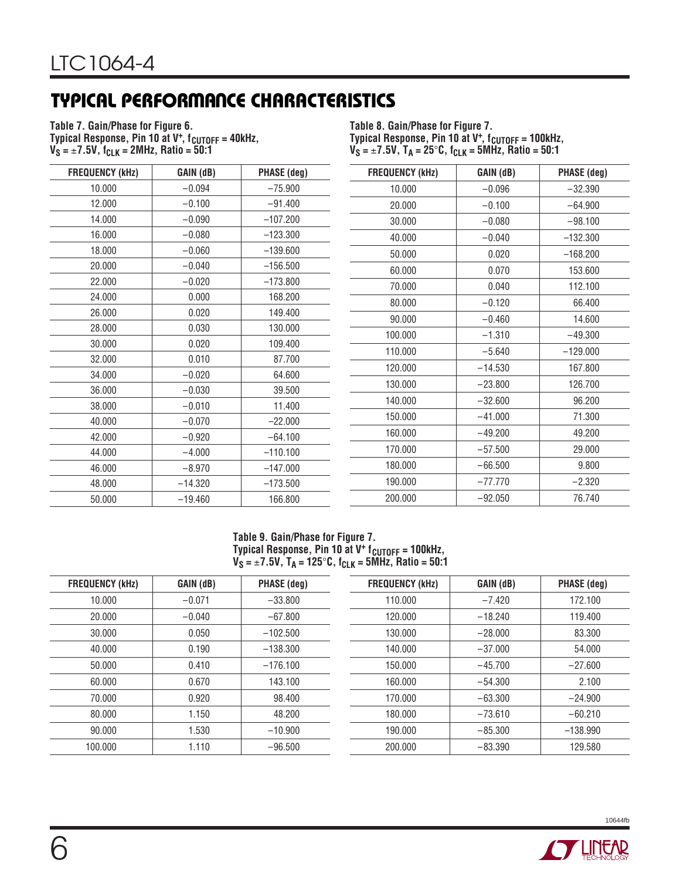# **TYPICAL PERFORMANCE CHARACTERISTICS**

**Table 7. Gain/Phase for Figure 6.** Typical Response, Pin 10 at V<sup>+</sup>, f<sub>CUTOFF</sub> = 40kHz,  $V_S = \pm 7.5V$ ,  $f_{CLK} = 2MHz$ , Ratio = 50.1

**Table 8. Gain/Phase for Figure 7.** Typical Response, Pin 10 at V<sup>+</sup>, f<sub>CUTOFF</sub> = 100kHz, **VS =** ±**7.5V, TA = 25**°**C, fCLK = 5MHz, Ratio = 50:1**

| <b>FREQUENCY (kHz)</b> | GAIN (dB) | PHASE (deg) |
|------------------------|-----------|-------------|
| 10.000                 | $-0.094$  | $-75.900$   |
| 12.000                 | $-0.100$  | $-91.400$   |
| 14.000                 | $-0.090$  | $-107.200$  |
| 16.000                 | $-0.080$  | $-123.300$  |
| 18.000                 | $-0.060$  | $-139.600$  |
| 20.000                 | $-0.040$  | $-156.500$  |
| 22.000                 | $-0.020$  | $-173.800$  |
| 24.000                 | 0.000     | 168.200     |
| 26.000                 | 0.020     | 149.400     |
| 28.000                 | 0.030     | 130.000     |
| 30.000                 | 0.020     | 109.400     |
| 32.000                 | 0.010     | 87.700      |
| 34.000                 | $-0.020$  | 64.600      |
| 36.000                 | $-0.030$  | 39.500      |
| 38.000                 | $-0.010$  | 11.400      |
| 40.000                 | $-0.070$  | $-22.000$   |
| 42.000                 | $-0.920$  | $-64.100$   |
| 44.000                 | $-4.000$  | $-110.100$  |
| 46.000                 | $-8.970$  | $-147.000$  |
| 48.000                 | $-14.320$ | $-173.500$  |
| 50.000                 | $-19.460$ | 166.800     |

| <b>FREQUENCY (kHz)</b> | GAIN (dB) | PHASE (deg) |
|------------------------|-----------|-------------|
| 10.000                 | $-0.096$  | $-32.390$   |
| 20.000                 | $-0.100$  | $-64.900$   |
| 30.000                 | $-0.080$  | $-98.100$   |
| 40.000                 | $-0.040$  | $-132.300$  |
| 50.000                 | 0.020     | $-168.200$  |
| 60.000                 | 0.070     | 153.600     |
| 70.000                 | 0.040     | 112.100     |
| 80.000                 | $-0.120$  | 66.400      |
| 90.000                 | $-0.460$  | 14.600      |
| 100.000                | $-1.310$  | $-49.300$   |
| 110.000                | $-5.640$  | $-129.000$  |
| 120.000                | $-14.530$ | 167.800     |
| 130.000                | $-23.800$ | 126.700     |
| 140.000                | $-32.600$ | 96.200      |
| 150.000                | $-41.000$ | 71.300      |
| 160.000                | $-49.200$ | 49.200      |
| 170.000                | $-57.500$ | 29.000      |
| 180.000                | $-66.500$ | 9.800       |
| 190.000                | $-77.770$ | $-2.320$    |
| 200.000                | $-92.050$ | 76.740      |

#### **Table 9. Gain/Phase for Figure 7.** Typical Response, Pin 10 at V<sup>+</sup> f<sub>CUTOFF</sub> = 100kHz, **VS =** ±**7.5V, TA = 125**°**C, fCLK = 5MHz, Ratio = 50:1**

| <b>FREQUENCY (kHz)</b> | GAIN (dB) | PHASE (deg) | <b>FREQUENCY (kHz)</b> | GAIN (dB) | <b>PHASE (deg)</b> |
|------------------------|-----------|-------------|------------------------|-----------|--------------------|
| 10.000                 | $-0.071$  | $-33.800$   | 110.000                | $-7.420$  | 172.100            |
| 20,000                 | $-0.040$  | $-67.800$   | 120.000                | $-18.240$ | 119.400            |
| 30.000                 | 0.050     | $-102.500$  | 130.000                | $-28.000$ | 83.300             |
| 40.000                 | 0.190     | $-138.300$  | 140.000                | $-37.000$ | 54.000             |
| 50.000                 | 0.410     | $-176.100$  | 150.000                | $-45.700$ | $-27.600$          |
| 60.000                 | 0.670     | 143.100     | 160.000                | $-54.300$ | 2.100              |
| 70.000                 | 0.920     | 98.400      | 170.000                | $-63.300$ | $-24.900$          |
| 80.000                 | 1.150     | 48.200      | 180.000                | $-73.610$ | $-60.210$          |
| 90.000                 | 1.530     | $-10.900$   | 190.000                | $-85.300$ | $-138.990$         |
| 100.000                | 1.110     | $-96.500$   | 200.000                | $-83.390$ | 129.580            |
|                        |           |             |                        |           |                    |



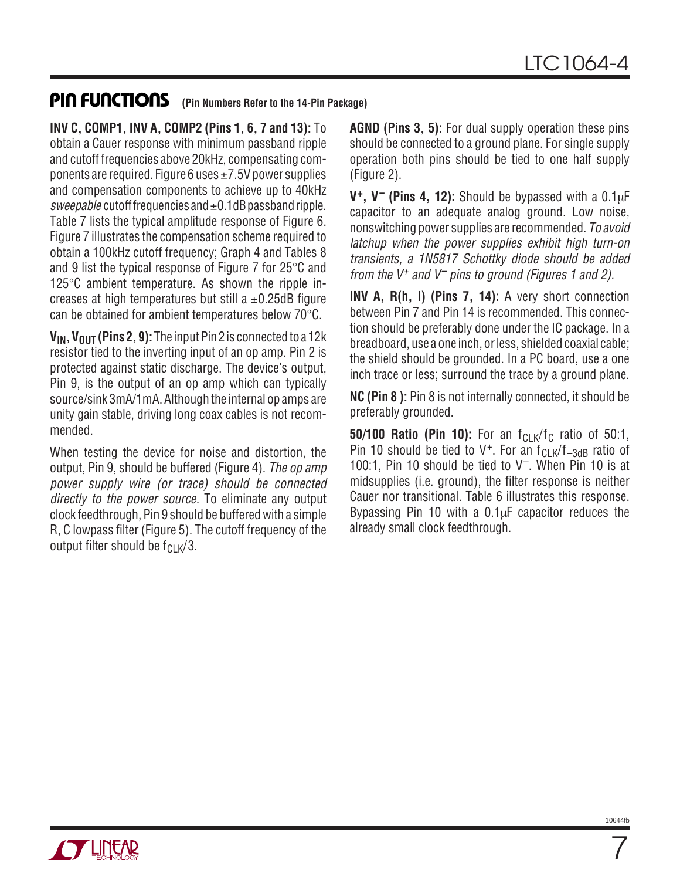### **U U U PI FU CTIO S (Pin Numbers Refer to the 14-Pin Package)**

**INV C, COMP1, INV A, COMP2 (Pins 1, 6, 7 and 13):** To obtain a Cauer response with minimum passband ripple and cutoff frequencies above 20kHz, compensating components are required. Figure 6 uses  $\pm$  7.5V power supplies and compensation components to achieve up to 40kHz sweepable cutoff frequencies and  $\pm 0.1$ dB passband ripple. Table 7 lists the typical amplitude response of Figure 6. Figure 7 illustrates the compensation scheme required to obtain a 100kHz cutoff frequency; Graph 4 and Tables 8 and 9 list the typical response of Figure 7 for 25°C and 125°C ambient temperature. As shown the ripple increases at high temperatures but still a  $\pm$ 0.25dB figure can be obtained for ambient temperatures below 70°C.

**VIN, VOUT (Pins 2, 9):**The input Pin 2 is connected to a 12k resistor tied to the inverting input of an op amp. Pin 2 is protected against static discharge. The device's output, Pin 9, is the output of an op amp which can typically source/sink 3mA/1mA. Although the internal op amps are unity gain stable, driving long coax cables is not recommended.

When testing the device for noise and distortion, the output, Pin 9, should be buffered (Figure 4). The op amp power supply wire (or trace) should be connected directly to the power source. To eliminate any output clock feedthrough, Pin 9 should be buffered with a simple R, C lowpass filter (Figure 5). The cutoff frequency of the output filter should be  $f_{Cl K}/3$ .

**AGND (Pins 3, 5):** For dual supply operation these pins should be connected to a ground plane. For single supply operation both pins should be tied to one half supply (Figure 2).

**V+, V– (Pins 4, 12):** Should be bypassed with a 0.1µF capacitor to an adequate analog ground. Low noise, nonswitching power supplies are recommended. To avoid latchup when the power supplies exhibit high turn-on transients, a 1N5817 Schottky diode should be added from the  $V^+$  and  $V^-$  pins to ground (Figures 1 and 2).

**INV A, R(h, I) (Pins 7, 14):** A very short connection between Pin 7 and Pin 14 is recommended. This connection should be preferably done under the IC package. In a breadboard, use a one inch, or less, shielded coaxial cable; the shield should be grounded. In a PC board, use a one inch trace or less; surround the trace by a ground plane.

**NC (Pin 8 ):** Pin 8 is not internally connected, it should be preferably grounded.

**50/100 Ratio (Pin 10):** For an  $f_{\text{Cl K}}/f_{\text{C}}$  ratio of 50:1, Pin 10 should be tied to  $V^+$ . For an  $f_{CLK}/f_{-3dB}$  ratio of 100:1, Pin 10 should be tied to V–. When Pin 10 is at midsupplies (i.e. ground), the filter response is neither Cauer nor transitional. Table 6 illustrates this response. Bypassing Pin 10 with a  $0.1\mu$ F capacitor reduces the already small clock feedthrough.



7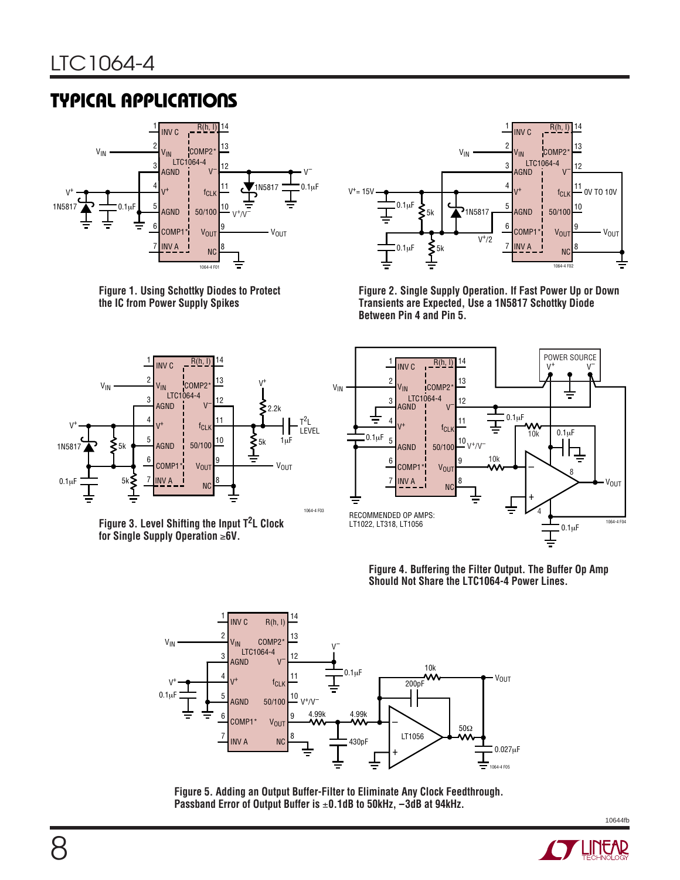## **TYPICAL APPLICATIONS**



**Figure 1. Using Schottky Diodes to Protect the IC from Power Supply Spikes**



**Figure 2. Single Supply Operation. If Fast Power Up or Down Transients are Expected, Use a 1N5817 Schottky Diode Between Pin 4 and Pin 5.**



**Figure 3. Level Shifting the Input T2L Clock for Single Supply Operation** ≥**6V.**



**Figure 4. Buffering the Filter Output. The Buffer Op Amp Should Not Share the LTC1064-4 Power Lines.**



**Figure 5. Adding an Output Buffer-Filter to Eliminate Any Clock Feedthrough. Passband Error of Output Buffer is** ±**0.1dB to 50kHz, –3dB at 94kHz.**



10644fb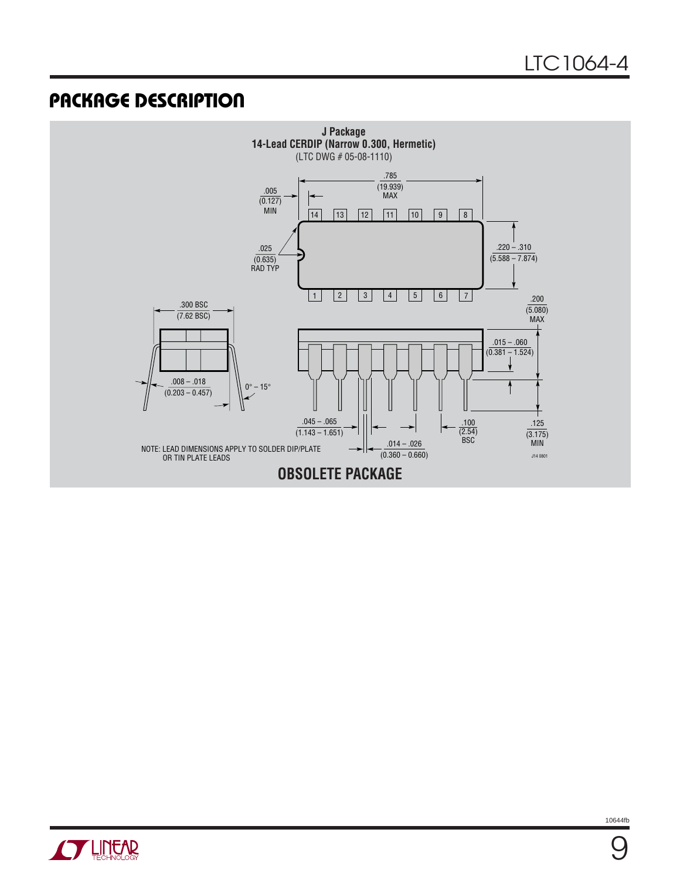### **U PACKAGE DESCRIPTIO**



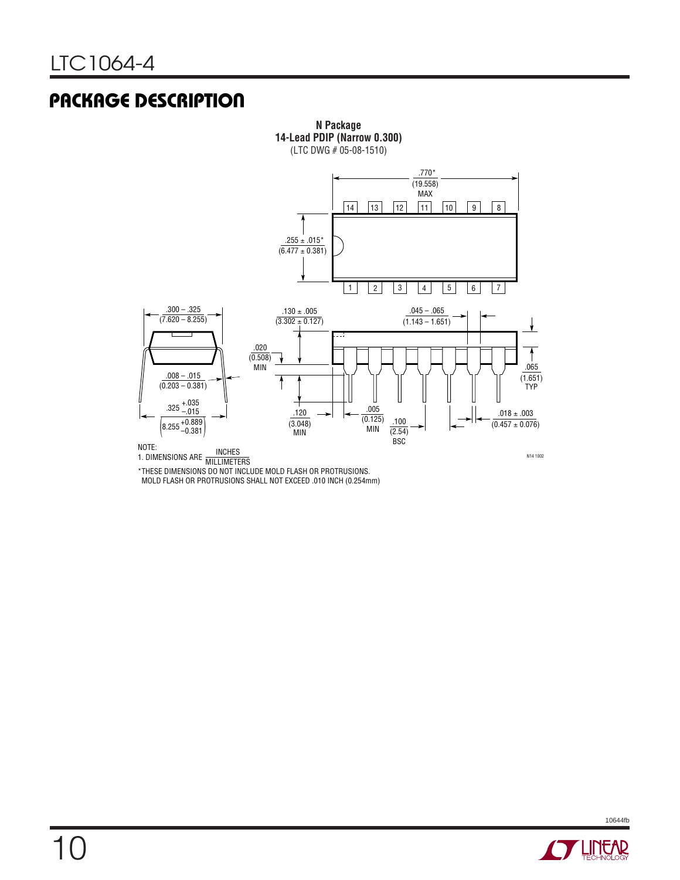### **U PACKAGE DESCRIPTIO**



**N Package**

\*THESE DIMENSIONS DO NOT INCLUDE MOLD FLASH OR PROTRUSIONS. MOLD FLASH OR PROTRUSIONS SHALL NOT EXCEED .010 INCH (0.254mm)

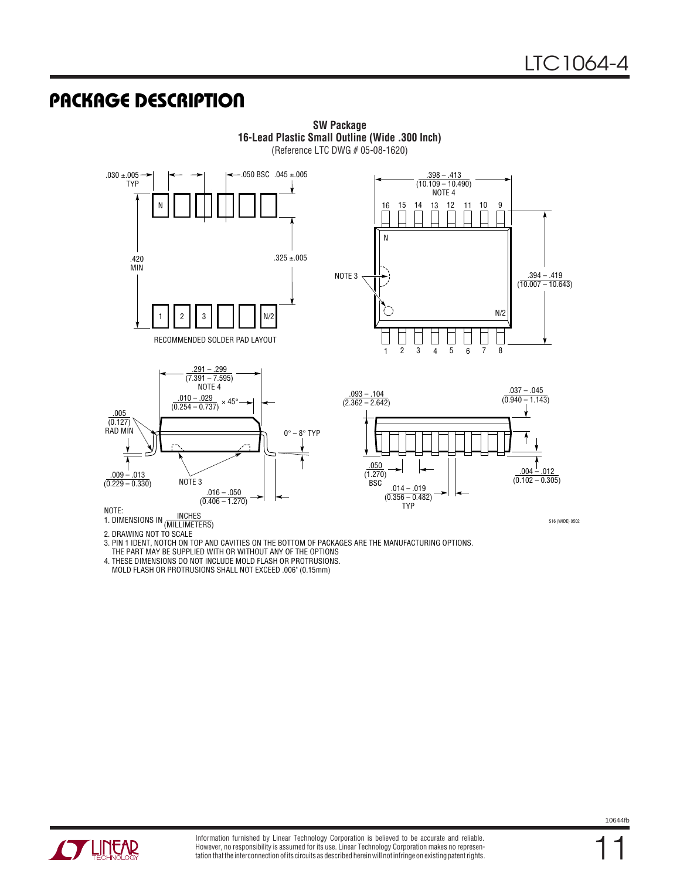### **U PACKAGE DESCRIPTIO**



**SW Package 16-Lead Plastic Small Outline (Wide .300 Inch)** (Reference LTC DWG # 05-08-1620)

2. DRAWING NOT TO SCALE

3. PIN 1 IDENT, NOTCH ON TOP AND CAVITIES ON THE BOTTOM OF PACKAGES ARE THE MANUFACTURING OPTIONS.

THE PART MAY BE SUPPLIED WITH OR WITHOUT ANY OF THE OPTIONS

4. THESE DIMENSIONS DO NOT INCLUDE MOLD FLASH OR PROTRUSIONS.

MOLD FLASH OR PROTRUSIONS SHALL NOT EXCEED .006" (0.15mm)



11